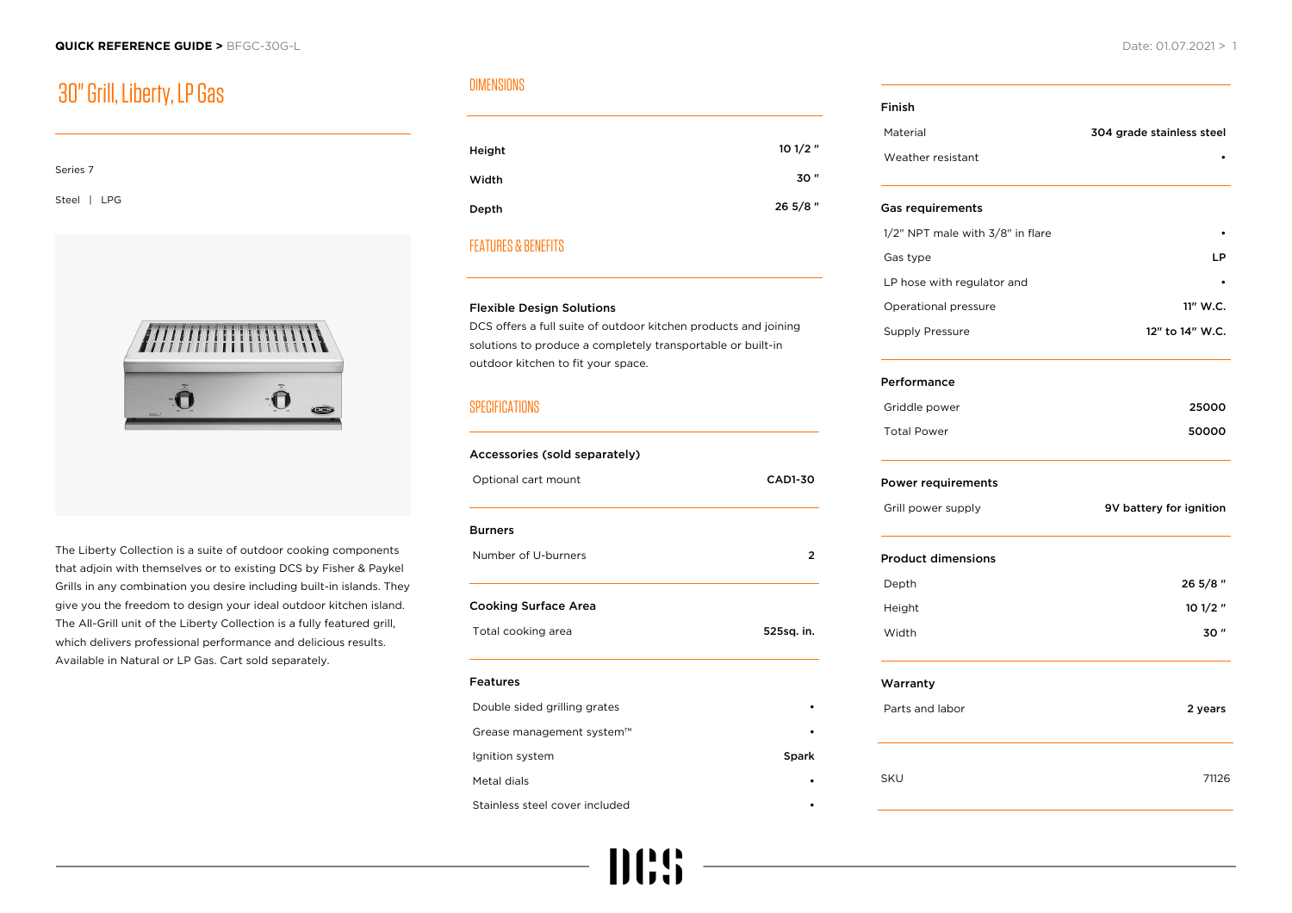## 30" Grill, Liberty, LP Gas

| Series 7    |  |  |  |
|-------------|--|--|--|
| Steel   LPG |  |  |  |



The Liberty Collection is a suite of outdoor cooking components that adjoin with themselves or to existing DCS by Fisher & Paykel Grills in any combination you desire including built-in islands. They give you the freedom to design your ideal outdoor kitchen island. The All-Grill unit of the Liberty Collection is a fully featured grill, which delivers professional performance and delicious results. Available in Natural or LP Gas. Cart sold separately.

### DIMENSIONS

| Height | $101/2$ " |
|--------|-----------|
| Width  | 30"       |
| Depth  | 26 5/8"   |
|        |           |

#### FEATURES & BENEFITS

#### Flexible Design Solutions

DCS offers a full suite of outdoor kitchen products and joining solutions to produce a completely transportable or built-in outdoor kitchen to fit your space.

#### **SPECIFICATIONS**

### Accessories (sold separately) Optional cart mount CAD1-30 Burners Number of U-burners 2 Cooking Surface Area Total cooking area 625sq. in. Features Double sided grilling grates • Grease management system™ • Ignition system Spark Spark Metal dials • Stainless steel cover included

III!!

# Finish Material 304 grade stainless steel Weather resistant Gas requirements 1/2" NPT male with 3/8" in flare Gas type **LP** LP hose with regulator and Operational pressure 11" W.C. Supply Pressure 12" to 14" W.C. Performance Griddle power 25000 Total Power **50000** Power requirements Grill power supply **1998 9V battery for ignition** Product dimensions Depth 26 5/8 " Height **10 1/2 "** 10 1/2 " Width 30 " Warranty Parts and labor 2 years 2 years 2 years 2 years 2 years 2 years 2 years 2 years 2 years 2 years 2 years 2 years 2 years 2 years 2 years 2 years 2 years 2 years 2 years 2 years 2 years 2 years 2 years 2 years 2 years 2 year SKU 71126